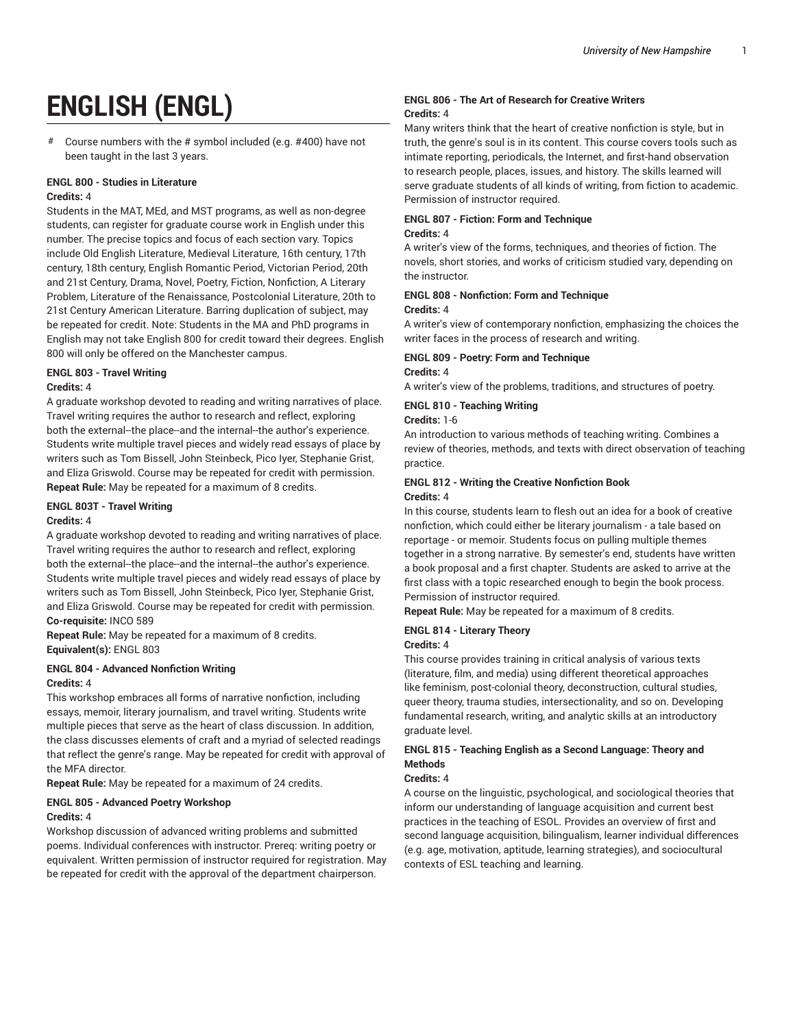# **ENGLISH (ENGL)**

# Course numbers with the # symbol included (e.g. #400) have not been taught in the last 3 years.

#### **ENGL 800 - Studies in Literature Credits:** 4

Students in the MAT, MEd, and MST programs, as well as non-degree students, can register for graduate course work in English under this number. The precise topics and focus of each section vary. Topics include Old English Literature, Medieval Literature, 16th century, 17th century, 18th century, English Romantic Period, Victorian Period, 20th and 21st Century, Drama, Novel, Poetry, Fiction, Nonfiction, A Literary Problem, Literature of the Renaissance, Postcolonial Literature, 20th to 21st Century American Literature. Barring duplication of subject, may be repeated for credit. Note: Students in the MA and PhD programs in English may not take English 800 for credit toward their degrees. English 800 will only be offered on the Manchester campus.

## **ENGL 803 - Travel Writing**

#### **Credits:** 4

A graduate workshop devoted to reading and writing narratives of place. Travel writing requires the author to research and reflect, exploring both the external--the place--and the internal--the author's experience. Students write multiple travel pieces and widely read essays of place by writers such as Tom Bissell, John Steinbeck, Pico Iyer, Stephanie Grist, and Eliza Griswold. Course may be repeated for credit with permission. **Repeat Rule:** May be repeated for a maximum of 8 credits.

#### **ENGL 803T - Travel Writing Credits:** 4

A graduate workshop devoted to reading and writing narratives of place. Travel writing requires the author to research and reflect, exploring both the external--the place--and the internal--the author's experience. Students write multiple travel pieces and widely read essays of place by writers such as Tom Bissell, John Steinbeck, Pico Iyer, Stephanie Grist, and Eliza Griswold. Course may be repeated for credit with permission. **Co-requisite:** INCO 589

**Repeat Rule:** May be repeated for a maximum of 8 credits. **Equivalent(s):** ENGL 803

#### **ENGL 804 - Advanced Nonfiction Writing Credits:** 4

This workshop embraces all forms of narrative nonfiction, including essays, memoir, literary journalism, and travel writing. Students write multiple pieces that serve as the heart of class discussion. In addition, the class discusses elements of craft and a myriad of selected readings that reflect the genre's range. May be repeated for credit with approval of the MFA director.

**Repeat Rule:** May be repeated for a maximum of 24 credits.

#### **ENGL 805 - Advanced Poetry Workshop**

#### **Credits:** 4

Workshop discussion of advanced writing problems and submitted poems. Individual conferences with instructor. Prereq: writing poetry or equivalent. Written permission of instructor required for registration. May be repeated for credit with the approval of the department chairperson.

#### **ENGL 806 - The Art of Research for Creative Writers Credits:** 4

Many writers think that the heart of creative nonfiction is style, but in truth, the genre's soul is in its content. This course covers tools such as intimate reporting, periodicals, the Internet, and first-hand observation to research people, places, issues, and history. The skills learned will serve graduate students of all kinds of writing, from fiction to academic. Permission of instructor required.

#### **ENGL 807 - Fiction: Form and Technique Credits:** 4

A writer's view of the forms, techniques, and theories of fiction. The novels, short stories, and works of criticism studied vary, depending on the instructor.

#### **ENGL 808 - Nonfiction: Form and Technique Credits:** 4

A writer's view of contemporary nonfiction, emphasizing the choices the writer faces in the process of research and writing.

#### **ENGL 809 - Poetry: Form and Technique Credits:** 4

A writer's view of the problems, traditions, and structures of poetry.

# **ENGL 810 - Teaching Writing**

**Credits:** 1-6

An introduction to various methods of teaching writing. Combines a review of theories, methods, and texts with direct observation of teaching practice.

## **ENGL 812 - Writing the Creative Nonfiction Book Credits:** 4

In this course, students learn to flesh out an idea for a book of creative nonfiction, which could either be literary journalism - a tale based on reportage - or memoir. Students focus on pulling multiple themes together in a strong narrative. By semester's end, students have written a book proposal and a first chapter. Students are asked to arrive at the first class with a topic researched enough to begin the book process. Permission of instructor required.

**Repeat Rule:** May be repeated for a maximum of 8 credits.

# **ENGL 814 - Literary Theory**

#### **Credits:** 4

This course provides training in critical analysis of various texts (literature, film, and media) using different theoretical approaches like feminism, post-colonial theory, deconstruction, cultural studies, queer theory, trauma studies, intersectionality, and so on. Developing fundamental research, writing, and analytic skills at an introductory graduate level.

## **ENGL 815 - Teaching English as a Second Language: Theory and Methods**

#### **Credits:** 4

A course on the linguistic, psychological, and sociological theories that inform our understanding of language acquisition and current best practices in the teaching of ESOL. Provides an overview of first and second language acquisition, bilingualism, learner individual differences (e.g. age, motivation, aptitude, learning strategies), and sociocultural contexts of ESL teaching and learning.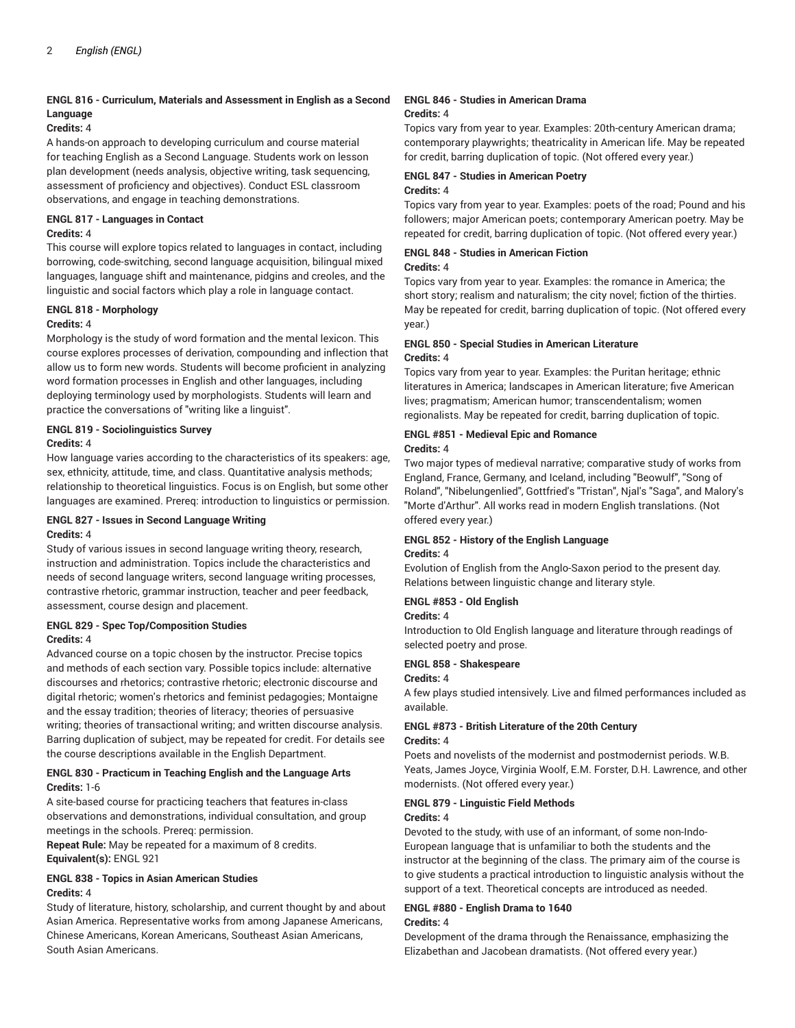## **ENGL 816 - Curriculum, Materials and Assessment in English as a Second Language**

#### **Credits:** 4

A hands-on approach to developing curriculum and course material for teaching English as a Second Language. Students work on lesson plan development (needs analysis, objective writing, task sequencing, assessment of proficiency and objectives). Conduct ESL classroom observations, and engage in teaching demonstrations.

#### **ENGL 817 - Languages in Contact**

#### **Credits:** 4

This course will explore topics related to languages in contact, including borrowing, code-switching, second language acquisition, bilingual mixed languages, language shift and maintenance, pidgins and creoles, and the linguistic and social factors which play a role in language contact.

#### **ENGL 818 - Morphology**

#### **Credits:** 4

Morphology is the study of word formation and the mental lexicon. This course explores processes of derivation, compounding and inflection that allow us to form new words. Students will become proficient in analyzing word formation processes in English and other languages, including deploying terminology used by morphologists. Students will learn and practice the conversations of "writing like a linguist".

## **ENGL 819 - Sociolinguistics Survey**

#### **Credits:** 4

How language varies according to the characteristics of its speakers: age, sex, ethnicity, attitude, time, and class. Quantitative analysis methods; relationship to theoretical linguistics. Focus is on English, but some other languages are examined. Prereq: introduction to linguistics or permission.

#### **ENGL 827 - Issues in Second Language Writing Credits:** 4

Study of various issues in second language writing theory, research, instruction and administration. Topics include the characteristics and needs of second language writers, second language writing processes, contrastive rhetoric, grammar instruction, teacher and peer feedback, assessment, course design and placement.

## **ENGL 829 - Spec Top/Composition Studies Credits:** 4

Advanced course on a topic chosen by the instructor. Precise topics and methods of each section vary. Possible topics include: alternative discourses and rhetorics; contrastive rhetoric; electronic discourse and digital rhetoric; women's rhetorics and feminist pedagogies; Montaigne and the essay tradition; theories of literacy; theories of persuasive writing; theories of transactional writing; and written discourse analysis. Barring duplication of subject, may be repeated for credit. For details see the course descriptions available in the English Department.

## **ENGL 830 - Practicum in Teaching English and the Language Arts Credits:** 1-6

A site-based course for practicing teachers that features in-class observations and demonstrations, individual consultation, and group meetings in the schools. Prereq: permission.

**Repeat Rule:** May be repeated for a maximum of 8 credits. **Equivalent(s):** ENGL 921

## **ENGL 838 - Topics in Asian American Studies Credits:** 4

Study of literature, history, scholarship, and current thought by and about Asian America. Representative works from among Japanese Americans, Chinese Americans, Korean Americans, Southeast Asian Americans, South Asian Americans.

#### **ENGL 846 - Studies in American Drama Credits:** 4

Topics vary from year to year. Examples: 20th-century American drama; contemporary playwrights; theatricality in American life. May be repeated for credit, barring duplication of topic. (Not offered every year.)

#### **ENGL 847 - Studies in American Poetry Credits:** 4

Topics vary from year to year. Examples: poets of the road; Pound and his followers; major American poets; contemporary American poetry. May be repeated for credit, barring duplication of topic. (Not offered every year.)

#### **ENGL 848 - Studies in American Fiction Credits:** 4

Topics vary from year to year. Examples: the romance in America; the short story; realism and naturalism; the city novel; fiction of the thirties. May be repeated for credit, barring duplication of topic. (Not offered every year.)

## **ENGL 850 - Special Studies in American Literature Credits:** 4

Topics vary from year to year. Examples: the Puritan heritage; ethnic literatures in America; landscapes in American literature; five American lives; pragmatism; American humor; transcendentalism; women regionalists. May be repeated for credit, barring duplication of topic.

#### **ENGL #851 - Medieval Epic and Romance Credits:** 4

Two major types of medieval narrative; comparative study of works from England, France, Germany, and Iceland, including "Beowulf", "Song of Roland", "Nibelungenlied", Gottfried's "Tristan", Njal's "Saga", and Malory's "Morte d'Arthur". All works read in modern English translations. (Not offered every year.)

# **ENGL 852 - History of the English Language**

#### **Credits:** 4

Evolution of English from the Anglo-Saxon period to the present day. Relations between linguistic change and literary style.

## **ENGL #853 - Old English**

## **Credits:** 4

Introduction to Old English language and literature through readings of selected poetry and prose.

## **ENGL 858 - Shakespeare**

#### **Credits:** 4

A few plays studied intensively. Live and filmed performances included as available.

## **ENGL #873 - British Literature of the 20th Century**

## **Credits:** 4

Poets and novelists of the modernist and postmodernist periods. W.B. Yeats, James Joyce, Virginia Woolf, E.M. Forster, D.H. Lawrence, and other modernists. (Not offered every year.)

## **ENGL 879 - Linguistic Field Methods**

## **Credits:** 4

Devoted to the study, with use of an informant, of some non-Indo-European language that is unfamiliar to both the students and the instructor at the beginning of the class. The primary aim of the course is to give students a practical introduction to linguistic analysis without the support of a text. Theoretical concepts are introduced as needed.

#### **ENGL #880 - English Drama to 1640 Credits:** 4

Development of the drama through the Renaissance, emphasizing the Elizabethan and Jacobean dramatists. (Not offered every year.)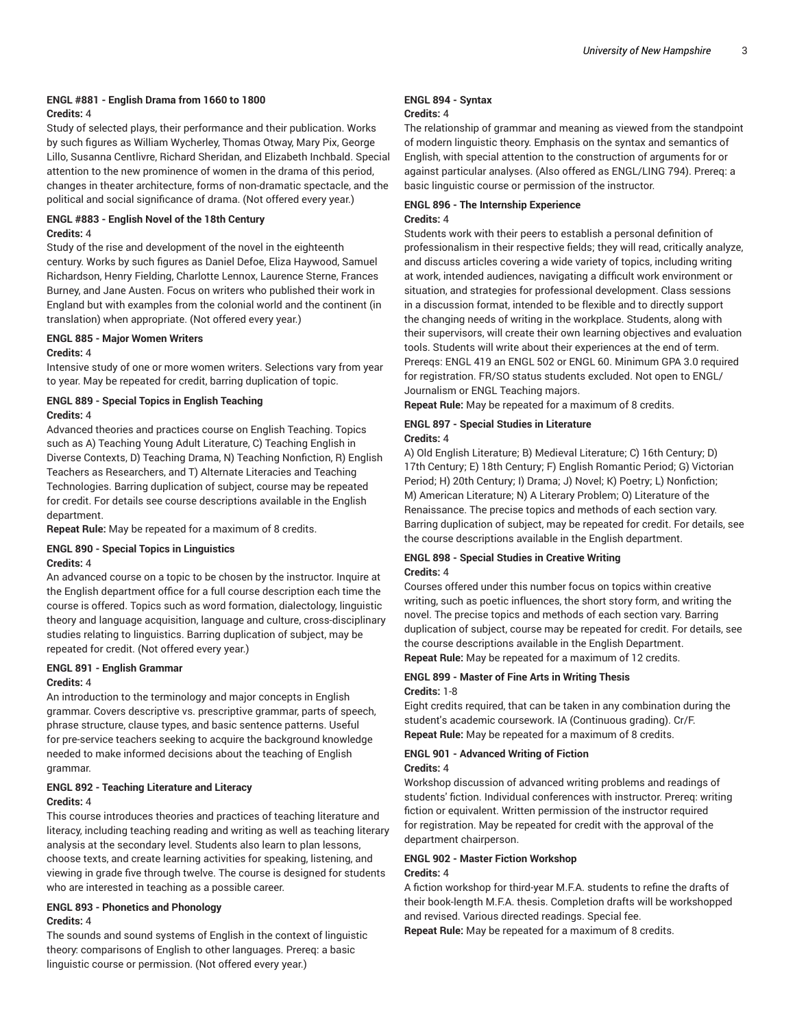## **ENGL #881 - English Drama from 1660 to 1800 Credits:** 4

Study of selected plays, their performance and their publication. Works by such figures as William Wycherley, Thomas Otway, Mary Pix, George Lillo, Susanna Centlivre, Richard Sheridan, and Elizabeth Inchbald. Special attention to the new prominence of women in the drama of this period, changes in theater architecture, forms of non-dramatic spectacle, and the political and social significance of drama. (Not offered every year.)

## **ENGL #883 - English Novel of the 18th Century Credits:** 4

Study of the rise and development of the novel in the eighteenth century. Works by such figures as Daniel Defoe, Eliza Haywood, Samuel Richardson, Henry Fielding, Charlotte Lennox, Laurence Sterne, Frances Burney, and Jane Austen. Focus on writers who published their work in England but with examples from the colonial world and the continent (in translation) when appropriate. (Not offered every year.)

## **ENGL 885 - Major Women Writers Credits:** 4

Intensive study of one or more women writers. Selections vary from year to year. May be repeated for credit, barring duplication of topic.

## **ENGL 889 - Special Topics in English Teaching Credits:** 4

Advanced theories and practices course on English Teaching. Topics such as A) Teaching Young Adult Literature, C) Teaching English in Diverse Contexts, D) Teaching Drama, N) Teaching Nonfiction, R) English Teachers as Researchers, and T) Alternate Literacies and Teaching Technologies. Barring duplication of subject, course may be repeated for credit. For details see course descriptions available in the English department.

**Repeat Rule:** May be repeated for a maximum of 8 credits.

#### **ENGL 890 - Special Topics in Linguistics Credits:** 4

An advanced course on a topic to be chosen by the instructor. Inquire at the English department office for a full course description each time the course is offered. Topics such as word formation, dialectology, linguistic theory and language acquisition, language and culture, cross-disciplinary studies relating to linguistics. Barring duplication of subject, may be repeated for credit. (Not offered every year.)

# **ENGL 891 - English Grammar**

## **Credits:** 4

An introduction to the terminology and major concepts in English grammar. Covers descriptive vs. prescriptive grammar, parts of speech, phrase structure, clause types, and basic sentence patterns. Useful for pre-service teachers seeking to acquire the background knowledge needed to make informed decisions about the teaching of English grammar.

#### **ENGL 892 - Teaching Literature and Literacy Credits:** 4

This course introduces theories and practices of teaching literature and literacy, including teaching reading and writing as well as teaching literary analysis at the secondary level. Students also learn to plan lessons, choose texts, and create learning activities for speaking, listening, and viewing in grade five through twelve. The course is designed for students who are interested in teaching as a possible career.

## **ENGL 893 - Phonetics and Phonology Credits:** 4

The sounds and sound systems of English in the context of linguistic theory: comparisons of English to other languages. Prereq: a basic linguistic course or permission. (Not offered every year.)

#### **ENGL 894 - Syntax Credits:** 4

The relationship of grammar and meaning as viewed from the standpoint of modern linguistic theory. Emphasis on the syntax and semantics of English, with special attention to the construction of arguments for or against particular analyses. (Also offered as ENGL/LING 794). Prereq: a basic linguistic course or permission of the instructor.

#### **ENGL 896 - The Internship Experience Credits:** 4

Students work with their peers to establish a personal definition of professionalism in their respective fields; they will read, critically analyze, and discuss articles covering a wide variety of topics, including writing at work, intended audiences, navigating a difficult work environment or situation, and strategies for professional development. Class sessions in a discussion format, intended to be flexible and to directly support the changing needs of writing in the workplace. Students, along with their supervisors, will create their own learning objectives and evaluation tools. Students will write about their experiences at the end of term. Prereqs: ENGL 419 an ENGL 502 or ENGL 60. Minimum GPA 3.0 required for registration. FR/SO status students excluded. Not open to ENGL/ Journalism or ENGL Teaching majors.

**Repeat Rule:** May be repeated for a maximum of 8 credits.

## **ENGL 897 - Special Studies in Literature**

## **Credits:** 4

A) Old English Literature; B) Medieval Literature; C) 16th Century; D) 17th Century; E) 18th Century; F) English Romantic Period; G) Victorian Period; H) 20th Century; I) Drama; J) Novel; K) Poetry; L) Nonfiction; M) American Literature; N) A Literary Problem; O) Literature of the Renaissance. The precise topics and methods of each section vary. Barring duplication of subject, may be repeated for credit. For details, see the course descriptions available in the English department.

## **ENGL 898 - Special Studies in Creative Writing Credits:** 4

Courses offered under this number focus on topics within creative writing, such as poetic influences, the short story form, and writing the novel. The precise topics and methods of each section vary. Barring duplication of subject, course may be repeated for credit. For details, see the course descriptions available in the English Department. **Repeat Rule:** May be repeated for a maximum of 12 credits.

#### **ENGL 899 - Master of Fine Arts in Writing Thesis Credits:** 1-8

Eight credits required, that can be taken in any combination during the student's academic coursework. IA (Continuous grading). Cr/F. **Repeat Rule:** May be repeated for a maximum of 8 credits.

## **ENGL 901 - Advanced Writing of Fiction Credits:** 4

Workshop discussion of advanced writing problems and readings of students' fiction. Individual conferences with instructor. Prereq: writing fiction or equivalent. Written permission of the instructor required for registration. May be repeated for credit with the approval of the department chairperson.

## **ENGL 902 - Master Fiction Workshop Credits:** 4

A fiction workshop for third-year M.F.A. students to refine the drafts of their book-length M.F.A. thesis. Completion drafts will be workshopped and revised. Various directed readings. Special fee.

**Repeat Rule:** May be repeated for a maximum of 8 credits.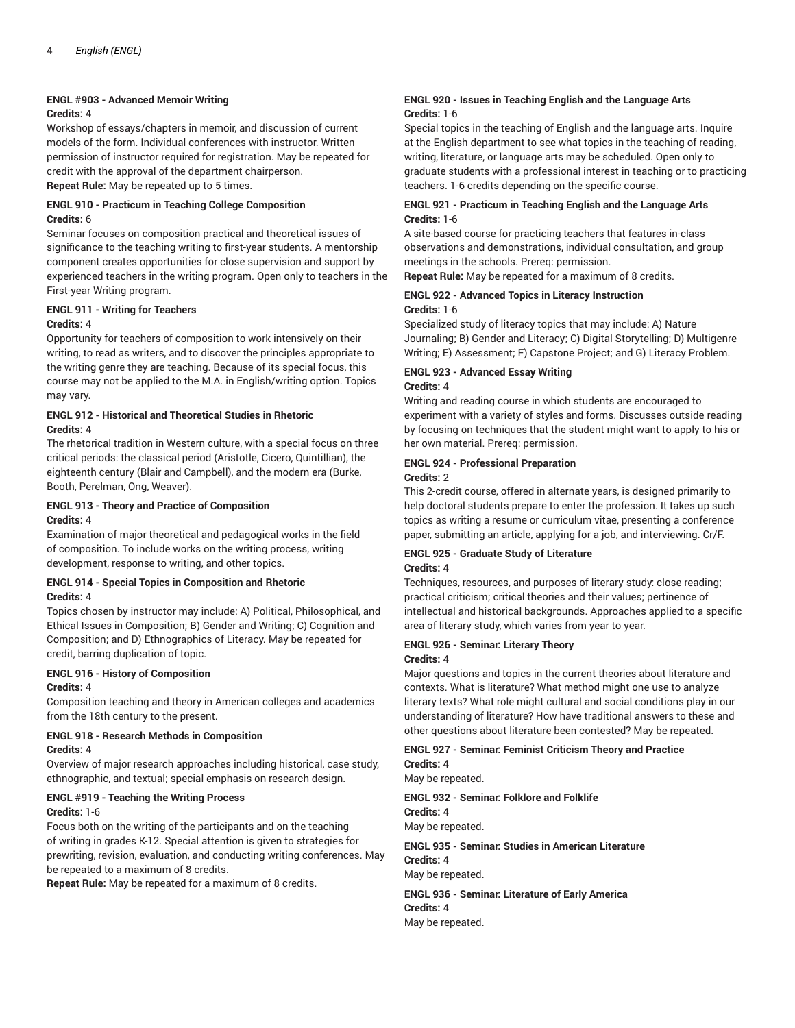## **ENGL #903 - Advanced Memoir Writing**

## **Credits:** 4

Workshop of essays/chapters in memoir, and discussion of current models of the form. Individual conferences with instructor. Written permission of instructor required for registration. May be repeated for credit with the approval of the department chairperson. **Repeat Rule:** May be repeated up to 5 times.

## **ENGL 910 - Practicum in Teaching College Composition Credits:** 6

Seminar focuses on composition practical and theoretical issues of significance to the teaching writing to first-year students. A mentorship component creates opportunities for close supervision and support by experienced teachers in the writing program. Open only to teachers in the First-year Writing program.

## **ENGL 911 - Writing for Teachers**

#### **Credits:** 4

Opportunity for teachers of composition to work intensively on their writing, to read as writers, and to discover the principles appropriate to the writing genre they are teaching. Because of its special focus, this course may not be applied to the M.A. in English/writing option. Topics may vary.

## **ENGL 912 - Historical and Theoretical Studies in Rhetoric Credits:** 4

The rhetorical tradition in Western culture, with a special focus on three critical periods: the classical period (Aristotle, Cicero, Quintillian), the eighteenth century (Blair and Campbell), and the modern era (Burke, Booth, Perelman, Ong, Weaver).

## **ENGL 913 - Theory and Practice of Composition Credits:** 4

Examination of major theoretical and pedagogical works in the field of composition. To include works on the writing process, writing development, response to writing, and other topics.

#### **ENGL 914 - Special Topics in Composition and Rhetoric Credits:** 4

Topics chosen by instructor may include: A) Political, Philosophical, and Ethical Issues in Composition; B) Gender and Writing; C) Cognition and Composition; and D) Ethnographics of Literacy. May be repeated for credit, barring duplication of topic.

# **ENGL 916 - History of Composition**

## **Credits:** 4

Composition teaching and theory in American colleges and academics from the 18th century to the present.

#### **ENGL 918 - Research Methods in Composition Credits:** 4

Overview of major research approaches including historical, case study, ethnographic, and textual; special emphasis on research design.

# **ENGL #919 - Teaching the Writing Process**

## **Credits:** 1-6

Focus both on the writing of the participants and on the teaching of writing in grades K-12. Special attention is given to strategies for prewriting, revision, evaluation, and conducting writing conferences. May be repeated to a maximum of 8 credits.

**Repeat Rule:** May be repeated for a maximum of 8 credits.

#### **ENGL 920 - Issues in Teaching English and the Language Arts Credits:** 1-6

Special topics in the teaching of English and the language arts. Inquire at the English department to see what topics in the teaching of reading, writing, literature, or language arts may be scheduled. Open only to graduate students with a professional interest in teaching or to practicing teachers. 1-6 credits depending on the specific course.

## **ENGL 921 - Practicum in Teaching English and the Language Arts Credits:** 1-6

A site-based course for practicing teachers that features in-class observations and demonstrations, individual consultation, and group meetings in the schools. Prereq: permission.

## **Repeat Rule:** May be repeated for a maximum of 8 credits.

#### **ENGL 922 - Advanced Topics in Literacy Instruction Credits:** 1-6

Specialized study of literacy topics that may include: A) Nature Journaling; B) Gender and Literacy; C) Digital Storytelling; D) Multigenre Writing; E) Assessment; F) Capstone Project; and G) Literacy Problem.

#### **ENGL 923 - Advanced Essay Writing Credits:** 4

Writing and reading course in which students are encouraged to experiment with a variety of styles and forms. Discusses outside reading by focusing on techniques that the student might want to apply to his or her own material. Prereq: permission.

## **ENGL 924 - Professional Preparation**

## **Credits:** 2

This 2-credit course, offered in alternate years, is designed primarily to help doctoral students prepare to enter the profession. It takes up such topics as writing a resume or curriculum vitae, presenting a conference paper, submitting an article, applying for a job, and interviewing. Cr/F.

## **ENGL 925 - Graduate Study of Literature Credits:** 4

Techniques, resources, and purposes of literary study: close reading; practical criticism; critical theories and their values; pertinence of intellectual and historical backgrounds. Approaches applied to a specific area of literary study, which varies from year to year.

# **ENGL 926 - Seminar: Literary Theory**

#### **Credits:** 4

Major questions and topics in the current theories about literature and contexts. What is literature? What method might one use to analyze literary texts? What role might cultural and social conditions play in our understanding of literature? How have traditional answers to these and other questions about literature been contested? May be repeated.

## **ENGL 927 - Seminar: Feminist Criticism Theory and Practice Credits:** 4

May be repeated.

**ENGL 932 - Seminar: Folklore and Folklife Credits:** 4 May be repeated.

**ENGL 935 - Seminar: Studies in American Literature Credits:** 4 May be repeated.

**ENGL 936 - Seminar: Literature of Early America Credits:** 4 May be repeated.